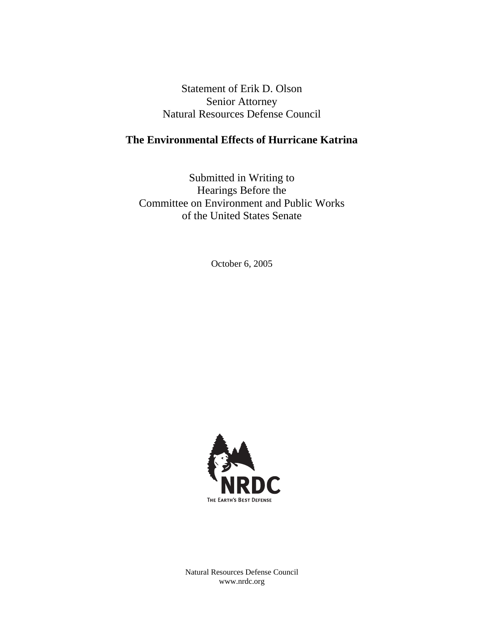Statement of Erik D. Olson Senior Attorney Natural Resources Defense Council

# **The Environmental Effects of Hurricane Katrina**

Submitted in Writing to Hearings Before the Committee on Environment and Public Works of the United States Senate

October 6, 2005



Natural Resources Defense Council www.nrdc.org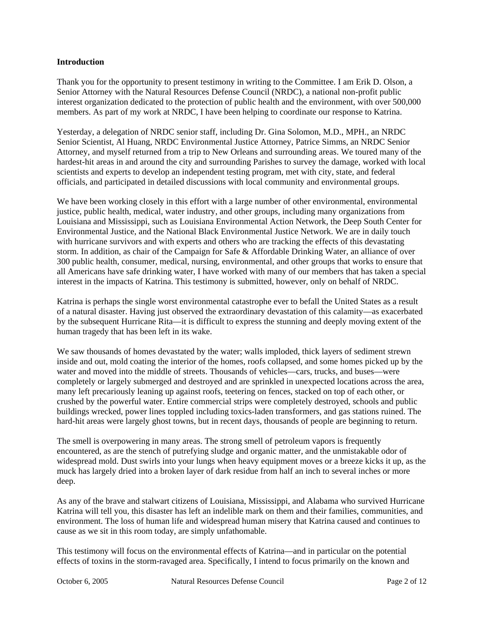### **Introduction**

Thank you for the opportunity to present testimony in writing to the Committee. I am Erik D. Olson, a Senior Attorney with the Natural Resources Defense Council (NRDC), a national non-profit public interest organization dedicated to the protection of public health and the environment, with over 500,000 members. As part of my work at NRDC, I have been helping to coordinate our response to Katrina.

Yesterday, a delegation of NRDC senior staff, including Dr. Gina Solomon, M.D., MPH., an NRDC Senior Scientist, Al Huang, NRDC Environmental Justice Attorney, Patrice Simms, an NRDC Senior Attorney, and myself returned from a trip to New Orleans and surrounding areas. We toured many of the hardest-hit areas in and around the city and surrounding Parishes to survey the damage, worked with local scientists and experts to develop an independent testing program, met with city, state, and federal officials, and participated in detailed discussions with local community and environmental groups.

We have been working closely in this effort with a large number of other environmental, environmental justice, public health, medical, water industry, and other groups, including many organizations from Louisiana and Mississippi, such as Louisiana Environmental Action Network, the Deep South Center for Environmental Justice, and the National Black Environmental Justice Network. We are in daily touch with hurricane survivors and with experts and others who are tracking the effects of this devastating storm. In addition, as chair of the Campaign for Safe & Affordable Drinking Water, an alliance of over 300 public health, consumer, medical, nursing, environmental, and other groups that works to ensure that all Americans have safe drinking water, I have worked with many of our members that has taken a special interest in the impacts of Katrina. This testimony is submitted, however, only on behalf of NRDC.

Katrina is perhaps the single worst environmental catastrophe ever to befall the United States as a result of a natural disaster. Having just observed the extraordinary devastation of this calamity—as exacerbated by the subsequent Hurricane Rita—it is difficult to express the stunning and deeply moving extent of the human tragedy that has been left in its wake.

We saw thousands of homes devastated by the water; walls imploded, thick layers of sediment strewn inside and out, mold coating the interior of the homes, roofs collapsed, and some homes picked up by the water and moved into the middle of streets. Thousands of vehicles—cars, trucks, and buses—were completely or largely submerged and destroyed and are sprinkled in unexpected locations across the area, many left precariously leaning up against roofs, teetering on fences, stacked on top of each other, or crushed by the powerful water. Entire commercial strips were completely destroyed, schools and public buildings wrecked, power lines toppled including toxics-laden transformers, and gas stations ruined. The hard-hit areas were largely ghost towns, but in recent days, thousands of people are beginning to return.

The smell is overpowering in many areas. The strong smell of petroleum vapors is frequently encountered, as are the stench of putrefying sludge and organic matter, and the unmistakable odor of widespread mold. Dust swirls into your lungs when heavy equipment moves or a breeze kicks it up, as the muck has largely dried into a broken layer of dark residue from half an inch to several inches or more deep.

As any of the brave and stalwart citizens of Louisiana, Mississippi, and Alabama who survived Hurricane Katrina will tell you, this disaster has left an indelible mark on them and their families, communities, and environment. The loss of human life and widespread human misery that Katrina caused and continues to cause as we sit in this room today, are simply unfathomable.

This testimony will focus on the environmental effects of Katrina—and in particular on the potential effects of toxins in the storm-ravaged area. Specifically, I intend to focus primarily on the known and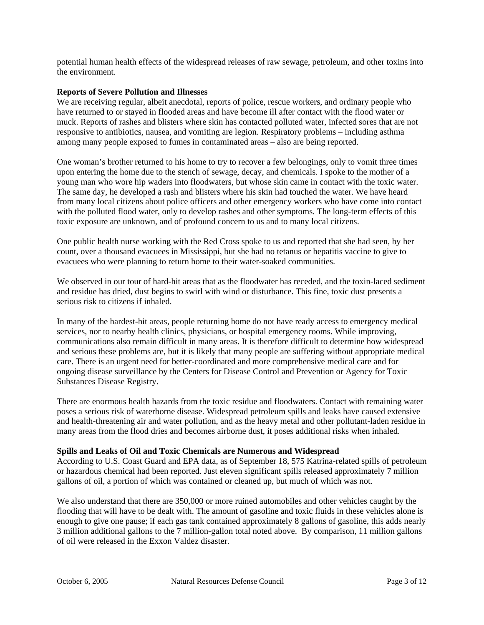potential human health effects of the widespread releases of raw sewage, petroleum, and other toxins into the environment.

### **Reports of Severe Pollution and Illnesses**

We are receiving regular, albeit anecdotal, reports of police, rescue workers, and ordinary people who have returned to or stayed in flooded areas and have become ill after contact with the flood water or muck. Reports of rashes and blisters where skin has contacted polluted water, infected sores that are not responsive to antibiotics, nausea, and vomiting are legion. Respiratory problems – including asthma among many people exposed to fumes in contaminated areas – also are being reported.

One woman's brother returned to his home to try to recover a few belongings, only to vomit three times upon entering the home due to the stench of sewage, decay, and chemicals. I spoke to the mother of a young man who wore hip waders into floodwaters, but whose skin came in contact with the toxic water. The same day, he developed a rash and blisters where his skin had touched the water. We have heard from many local citizens about police officers and other emergency workers who have come into contact with the polluted flood water, only to develop rashes and other symptoms. The long-term effects of this toxic exposure are unknown, and of profound concern to us and to many local citizens.

One public health nurse working with the Red Cross spoke to us and reported that she had seen, by her count, over a thousand evacuees in Mississippi, but she had no tetanus or hepatitis vaccine to give to evacuees who were planning to return home to their water-soaked communities.

We observed in our tour of hard-hit areas that as the floodwater has receded, and the toxin-laced sediment and residue has dried, dust begins to swirl with wind or disturbance. This fine, toxic dust presents a serious risk to citizens if inhaled.

In many of the hardest-hit areas, people returning home do not have ready access to emergency medical services, nor to nearby health clinics, physicians, or hospital emergency rooms. While improving, communications also remain difficult in many areas. It is therefore difficult to determine how widespread and serious these problems are, but it is likely that many people are suffering without appropriate medical care. There is an urgent need for better-coordinated and more comprehensive medical care and for ongoing disease surveillance by the Centers for Disease Control and Prevention or Agency for Toxic Substances Disease Registry.

There are enormous health hazards from the toxic residue and floodwaters. Contact with remaining water poses a serious risk of waterborne disease. Widespread petroleum spills and leaks have caused extensive and health-threatening air and water pollution, and as the heavy metal and other pollutant-laden residue in many areas from the flood dries and becomes airborne dust, it poses additional risks when inhaled.

## **Spills and Leaks of Oil and Toxic Chemicals are Numerous and Widespread**

According to U.S. Coast Guard and EPA data, as of September 18, 575 Katrina-related spills of petroleum or hazardous chemical had been reported. Just eleven significant spills released approximately 7 million gallons of oil, a portion of which was contained or cleaned up, but much of which was not.

We also understand that there are 350,000 or more ruined automobiles and other vehicles caught by the flooding that will have to be dealt with. The amount of gasoline and toxic fluids in these vehicles alone is enough to give one pause; if each gas tank contained approximately 8 gallons of gasoline, this adds nearly 3 million additional gallons to the 7 million-gallon total noted above. By comparison, 11 million gallons of oil were released in the Exxon Valdez disaster.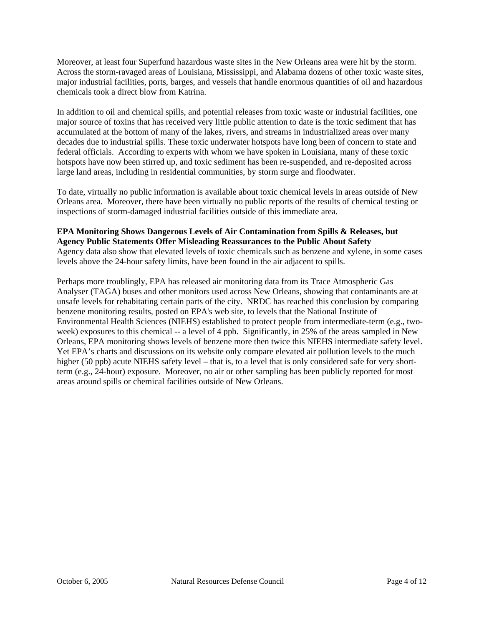Moreover, at least four Superfund hazardous waste sites in the New Orleans area were hit by the storm. Across the storm-ravaged areas of Louisiana, Mississippi, and Alabama dozens of other toxic waste sites, major industrial facilities, ports, barges, and vessels that handle enormous quantities of oil and hazardous chemicals took a direct blow from Katrina.

In addition to oil and chemical spills, and potential releases from toxic waste or industrial facilities, one major source of toxins that has received very little public attention to date is the toxic sediment that has accumulated at the bottom of many of the lakes, rivers, and streams in industrialized areas over many decades due to industrial spills. These toxic underwater hotspots have long been of concern to state and federal officials. According to experts with whom we have spoken in Louisiana, many of these toxic hotspots have now been stirred up, and toxic sediment has been re-suspended, and re-deposited across large land areas, including in residential communities, by storm surge and floodwater.

To date, virtually no public information is available about toxic chemical levels in areas outside of New Orleans area. Moreover, there have been virtually no public reports of the results of chemical testing or inspections of storm-damaged industrial facilities outside of this immediate area.

#### **EPA Monitoring Shows Dangerous Levels of Air Contamination from Spills & Releases, but Agency Public Statements Offer Misleading Reassurances to the Public About Safety**

Agency data also show that elevated levels of toxic chemicals such as benzene and xylene, in some cases levels above the 24-hour safety limits, have been found in the air adjacent to spills.

Perhaps more troublingly, EPA has released air monitoring data from its Trace Atmospheric Gas Analyser (TAGA) buses and other monitors used across New Orleans, showing that contaminants are at unsafe levels for rehabitating certain parts of the city. NRDC has reached this conclusion by comparing benzene monitoring results, posted on EPA's web site, to levels that the National Institute of Environmental Health Sciences (NIEHS) established to protect people from intermediate-term (e.g., twoweek) exposures to this chemical -- a level of 4 ppb. Significantly, in 25% of the areas sampled in New Orleans, EPA monitoring shows levels of benzene more then twice this NIEHS intermediate safety level. Yet EPA's charts and discussions on its website only compare elevated air pollution levels to the much higher (50 ppb) acute NIEHS safety level – that is, to a level that is only considered safe for very shortterm (e.g., 24-hour) exposure. Moreover, no air or other sampling has been publicly reported for most areas around spills or chemical facilities outside of New Orleans.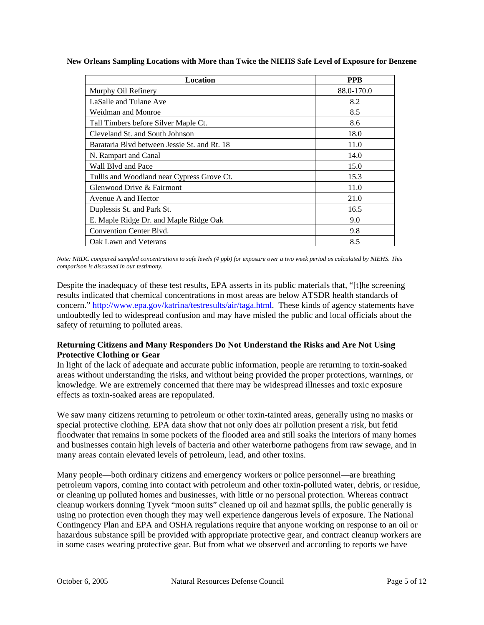| Location                                     | <b>PPB</b> |
|----------------------------------------------|------------|
| Murphy Oil Refinery                          | 88.0-170.0 |
| LaSalle and Tulane Ave                       | 8.2        |
| Weidman and Monroe                           | 8.5        |
| Tall Timbers before Silver Maple Ct.         | 8.6        |
| Cleveland St. and South Johnson              | 18.0       |
| Barataria Blyd between Jessie St. and Rt. 18 | 11.0       |
| N. Rampart and Canal                         | 14.0       |
| Wall Blvd and Pace                           | 15.0       |
| Tullis and Woodland near Cypress Grove Ct.   | 15.3       |
| Glenwood Drive & Fairmont                    | 11.0       |
| Avenue A and Hector                          | 21.0       |
| Duplessis St. and Park St.                   | 16.5       |
| E. Maple Ridge Dr. and Maple Ridge Oak       | 9.0        |
| Convention Center Blvd.                      | 9.8        |
| Oak Lawn and Veterans                        | 8.5        |

**New Orleans Sampling Locations with More than Twice the NIEHS Safe Level of Exposure for Benzene** 

*Note: NRDC compared sampled concentrations to safe levels (4 ppb) for exposure over a two week period as calculated by NIEHS. This comparison is discussed in our testimony.* 

Despite the inadequacy of these test results, EPA asserts in its public materials that, "[t]he screening results indicated that chemical concentrations in most areas are below ATSDR health standards of concern." http://www.epa.gov/katrina/testresults/air/taga.html. These kinds of agency statements have undoubtedly led to widespread confusion and may have misled the public and local officials about the safety of returning to polluted areas.

# **Returning Citizens and Many Responders Do Not Understand the Risks and Are Not Using Protective Clothing or Gear**

In light of the lack of adequate and accurate public information, people are returning to toxin-soaked areas without understanding the risks, and without being provided the proper protections, warnings, or knowledge. We are extremely concerned that there may be widespread illnesses and toxic exposure effects as toxin-soaked areas are repopulated.

We saw many citizens returning to petroleum or other toxin-tainted areas, generally using no masks or special protective clothing. EPA data show that not only does air pollution present a risk, but fetid floodwater that remains in some pockets of the flooded area and still soaks the interiors of many homes and businesses contain high levels of bacteria and other waterborne pathogens from raw sewage, and in many areas contain elevated levels of petroleum, lead, and other toxins.

Many people—both ordinary citizens and emergency workers or police personnel—are breathing petroleum vapors, coming into contact with petroleum and other toxin-polluted water, debris, or residue, or cleaning up polluted homes and businesses, with little or no personal protection. Whereas contract cleanup workers donning Tyvek "moon suits" cleaned up oil and hazmat spills, the public generally is using no protection even though they may well experience dangerous levels of exposure. The National Contingency Plan and EPA and OSHA regulations require that anyone working on response to an oil or hazardous substance spill be provided with appropriate protective gear, and contract cleanup workers are in some cases wearing protective gear. But from what we observed and according to reports we have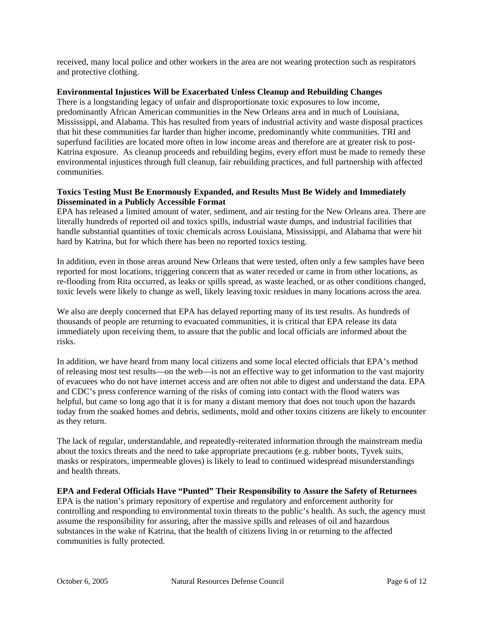received, many local police and other workers in the area are not wearing protection such as respirators and protective clothing.

### **Environmental Injustices Will be Exacerbated Unless Cleanup and Rebuilding Changes**

There is a longstanding legacy of unfair and disproportionate toxic exposures to low income, predominantly African American communities in the New Orleans area and in much of Louisiana, Mississippi, and Alabama. This has resulted from years of industrial activity and waste disposal practices that hit these communities far harder than higher income, predominantly white communities. TRI and superfund facilities are located more often in low income areas and therefore are at greater risk to post-Katrina exposure. As cleanup proceeds and rebuilding begins, every effort must be made to remedy these environmental injustices through full cleanup, fair rebuilding practices, and full partnership with affected communities.

## **Toxics Testing Must Be Enormously Expanded, and Results Must Be Widely and Immediately Disseminated in a Publicly Accessible Format**

EPA has released a limited amount of water, sediment, and air testing for the New Orleans area. There are literally hundreds of reported oil and toxics spills, industrial waste dumps, and industrial facilities that handle substantial quantities of toxic chemicals across Louisiana, Mississippi, and Alabama that were hit hard by Katrina, but for which there has been no reported toxics testing.

In addition, even in those areas around New Orleans that were tested, often only a few samples have been reported for most locations, triggering concern that as water receded or came in from other locations, as re-flooding from Rita occurred, as leaks or spills spread, as waste leached, or as other conditions changed, toxic levels were likely to change as well, likely leaving toxic residues in many locations across the area.

We also are deeply concerned that EPA has delayed reporting many of its test results. As hundreds of thousands of people are returning to evacuated communities, it is critical that EPA release its data immediately upon receiving them, to assure that the public and local officials are informed about the risks.

In addition, we have heard from many local citizens and some local elected officials that EPA's method of releasing most test results—on the web—is not an effective way to get information to the vast majority of evacuees who do not have internet access and are often not able to digest and understand the data. EPA and CDC's press conference warning of the risks of coming into contact with the flood waters was helpful, but came so long ago that it is for many a distant memory that does not touch upon the hazards today from the soaked homes and debris, sediments, mold and other toxins citizens are likely to encounter as they return.

The lack of regular, understandable, and repeatedly-reiterated information through the mainstream media about the toxics threats and the need to take appropriate precautions (e.g. rubber boots, Tyvek suits, masks or respirators, impermeable gloves) is likely to lead to continued widespread misunderstandings and health threats.

## **EPA and Federal Officials Have "Punted" Their Responsibility to Assure the Safety of Returnees**

EPA is the nation's primary repository of expertise and regulatory and enforcement authority for controlling and responding to environmental toxin threats to the public's health. As such, the agency must assume the responsibility for assuring, after the massive spills and releases of oil and hazardous substances in the wake of Katrina, that the health of citizens living in or returning to the affected communities is fully protected.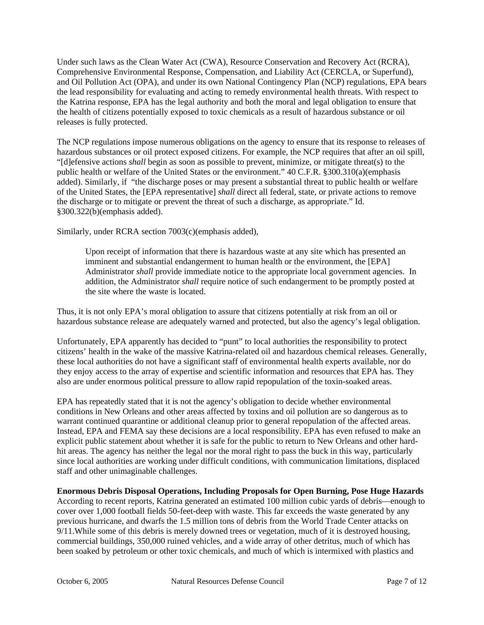Under such laws as the Clean Water Act (CWA), Resource Conservation and Recovery Act (RCRA), Comprehensive Environmental Response, Compensation, and Liability Act (CERCLA, or Superfund), and Oil Pollution Act (OPA), and under its own National Contingency Plan (NCP) regulations, EPA bears the lead responsibility for evaluating and acting to remedy environmental health threats. With respect to the Katrina response, EPA has the legal authority and both the moral and legal obligation to ensure that the health of citizens potentially exposed to toxic chemicals as a result of hazardous substance or oil releases is fully protected.

The NCP regulations impose numerous obligations on the agency to ensure that its response to releases of hazardous substances or oil protect exposed citizens. For example, the NCP requires that after an oil spill, "[d]efensive actions *shall* begin as soon as possible to prevent, minimize, or mitigate threat(s) to the public health or welfare of the United States or the environment." 40 C.F.R. §300.310(a)(emphasis added). Similarly, if "the discharge poses or may present a substantial threat to public health or welfare of the United States, the [EPA representative] *shall* direct all federal, state, or private actions to remove the discharge or to mitigate or prevent the threat of such a discharge, as appropriate." Id. §300.322(b)(emphasis added).

Similarly, under RCRA section 7003(c)(emphasis added),

Upon receipt of information that there is hazardous waste at any site which has presented an imminent and substantial endangerment to human health or the environment, the [EPA] Administrator *shall* provide immediate notice to the appropriate local government agencies. In addition, the Administrator *shall* require notice of such endangerment to be promptly posted at the site where the waste is located.

Thus, it is not only EPA's moral obligation to assure that citizens potentially at risk from an oil or hazardous substance release are adequately warned and protected, but also the agency's legal obligation.

Unfortunately, EPA apparently has decided to "punt" to local authorities the responsibility to protect citizens' health in the wake of the massive Katrina-related oil and hazardous chemical releases. Generally, these local authorities do not have a significant staff of environmental health experts available, nor do they enjoy access to the array of expertise and scientific information and resources that EPA has. They also are under enormous political pressure to allow rapid repopulation of the toxin-soaked areas.

EPA has repeatedly stated that it is not the agency's obligation to decide whether environmental conditions in New Orleans and other areas affected by toxins and oil pollution are so dangerous as to warrant continued quarantine or additional cleanup prior to general repopulation of the affected areas. Instead, EPA and FEMA say these decisions are a local responsibility. EPA has even refused to make an explicit public statement about whether it is safe for the public to return to New Orleans and other hardhit areas. The agency has neither the legal nor the moral right to pass the buck in this way, particularly since local authorities are working under difficult conditions, with communication limitations, displaced staff and other unimaginable challenges.

**Enormous Debris Disposal Operations, Including Proposals for Open Burning, Pose Huge Hazards**  According to recent reports, Katrina generated an estimated 100 million cubic yards of debris—enough to cover over 1,000 football fields 50-feet-deep with waste. This far exceeds the waste generated by any previous hurricane, and dwarfs the 1.5 million tons of debris from the World Trade Center attacks on 9/11.While some of this debris is merely downed trees or vegetation, much of it is destroyed housing, commercial buildings, 350,000 ruined vehicles, and a wide array of other detritus, much of which has been soaked by petroleum or other toxic chemicals, and much of which is intermixed with plastics and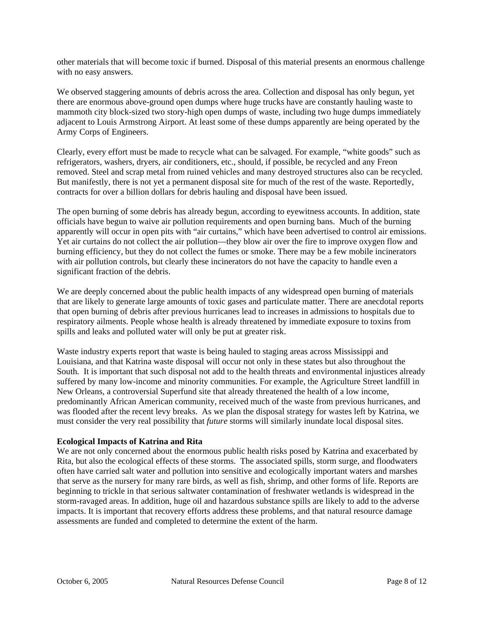other materials that will become toxic if burned. Disposal of this material presents an enormous challenge with no easy answers.

We observed staggering amounts of debris across the area. Collection and disposal has only begun, yet there are enormous above-ground open dumps where huge trucks have are constantly hauling waste to mammoth city block-sized two story-high open dumps of waste, including two huge dumps immediately adjacent to Louis Armstrong Airport. At least some of these dumps apparently are being operated by the Army Corps of Engineers.

Clearly, every effort must be made to recycle what can be salvaged. For example, "white goods" such as refrigerators, washers, dryers, air conditioners, etc., should, if possible, be recycled and any Freon removed. Steel and scrap metal from ruined vehicles and many destroyed structures also can be recycled. But manifestly, there is not yet a permanent disposal site for much of the rest of the waste. Reportedly, contracts for over a billion dollars for debris hauling and disposal have been issued.

The open burning of some debris has already begun, according to eyewitness accounts. In addition, state officials have begun to waive air pollution requirements and open burning bans. Much of the burning apparently will occur in open pits with "air curtains," which have been advertised to control air emissions. Yet air curtains do not collect the air pollution—they blow air over the fire to improve oxygen flow and burning efficiency, but they do not collect the fumes or smoke. There may be a few mobile incinerators with air pollution controls, but clearly these incinerators do not have the capacity to handle even a significant fraction of the debris.

We are deeply concerned about the public health impacts of any widespread open burning of materials that are likely to generate large amounts of toxic gases and particulate matter. There are anecdotal reports that open burning of debris after previous hurricanes lead to increases in admissions to hospitals due to respiratory ailments. People whose health is already threatened by immediate exposure to toxins from spills and leaks and polluted water will only be put at greater risk.

Waste industry experts report that waste is being hauled to staging areas across Mississippi and Louisiana, and that Katrina waste disposal will occur not only in these states but also throughout the South. It is important that such disposal not add to the health threats and environmental injustices already suffered by many low-income and minority communities. For example, the Agriculture Street landfill in New Orleans, a controversial Superfund site that already threatened the health of a low income, predominantly African American community, received much of the waste from previous hurricanes, and was flooded after the recent levy breaks. As we plan the disposal strategy for wastes left by Katrina, we must consider the very real possibility that *future* storms will similarly inundate local disposal sites.

## **Ecological Impacts of Katrina and Rita**

We are not only concerned about the enormous public health risks posed by Katrina and exacerbated by Rita, but also the ecological effects of these storms. The associated spills, storm surge, and floodwaters often have carried salt water and pollution into sensitive and ecologically important waters and marshes that serve as the nursery for many rare birds, as well as fish, shrimp, and other forms of life. Reports are beginning to trickle in that serious saltwater contamination of freshwater wetlands is widespread in the storm-ravaged areas. In addition, huge oil and hazardous substance spills are likely to add to the adverse impacts. It is important that recovery efforts address these problems, and that natural resource damage assessments are funded and completed to determine the extent of the harm.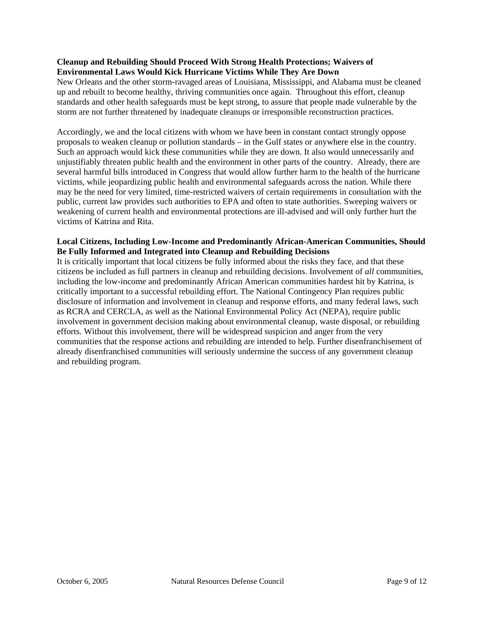## **Cleanup and Rebuilding Should Proceed With Strong Health Protections; Waivers of Environmental Laws Would Kick Hurricane Victims While They Are Down**

New Orleans and the other storm-ravaged areas of Louisiana, Mississippi, and Alabama must be cleaned up and rebuilt to become healthy, thriving communities once again. Throughout this effort, cleanup standards and other health safeguards must be kept strong, to assure that people made vulnerable by the storm are not further threatened by inadequate cleanups or irresponsible reconstruction practices.

Accordingly, we and the local citizens with whom we have been in constant contact strongly oppose proposals to weaken cleanup or pollution standards – in the Gulf states or anywhere else in the country. Such an approach would kick these communities while they are down. It also would unnecessarily and unjustifiably threaten public health and the environment in other parts of the country. Already, there are several harmful bills introduced in Congress that would allow further harm to the health of the hurricane victims, while jeopardizing public health and environmental safeguards across the nation. While there may be the need for very limited, time-restricted waivers of certain requirements in consultation with the public, current law provides such authorities to EPA and often to state authorities. Sweeping waivers or weakening of current health and environmental protections are ill-advised and will only further hurt the victims of Katrina and Rita.

# **Local Citizens, Including Low-Income and Predominantly African-American Communities, Should Be Fully Informed and Integrated into Cleanup and Rebuilding Decisions**

It is critically important that local citizens be fully informed about the risks they face, and that these citizens be included as full partners in cleanup and rebuilding decisions. Involvement of *all* communities, including the low-income and predominantly African American communities hardest hit by Katrina, is critically important to a successful rebuilding effort. The National Contingency Plan requires public disclosure of information and involvement in cleanup and response efforts, and many federal laws, such as RCRA and CERCLA, as well as the National Environmental Policy Act (NEPA), require public involvement in government decision making about environmental cleanup, waste disposal, or rebuilding efforts. Without this involvement, there will be widespread suspicion and anger from the very communities that the response actions and rebuilding are intended to help. Further disenfranchisement of already disenfranchised communities will seriously undermine the success of any government cleanup and rebuilding program.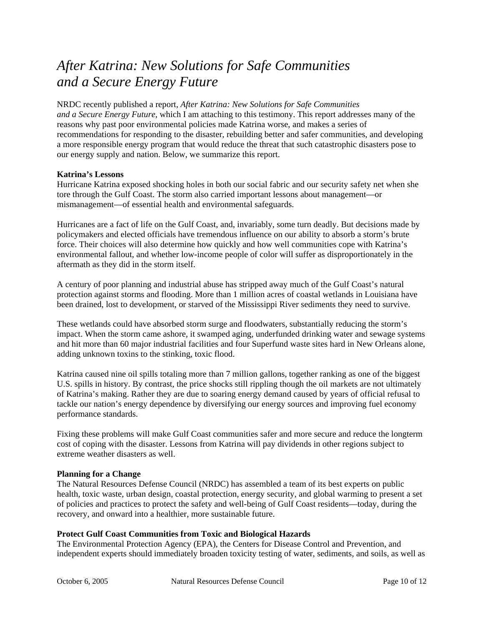# *After Katrina: New Solutions for Safe Communities and a Secure Energy Future*

NRDC recently published a report, *After Katrina: New Solutions for Safe Communities and a Secure Energy Future,* which I am attaching to this testimony. This report addresses many of the reasons why past poor environmental policies made Katrina worse, and makes a series of recommendations for responding to the disaster, rebuilding better and safer communities, and developing a more responsible energy program that would reduce the threat that such catastrophic disasters pose to our energy supply and nation. Below, we summarize this report.

### **Katrina's Lessons**

Hurricane Katrina exposed shocking holes in both our social fabric and our security safety net when she tore through the Gulf Coast. The storm also carried important lessons about management—or mismanagement—of essential health and environmental safeguards.

Hurricanes are a fact of life on the Gulf Coast, and, invariably, some turn deadly. But decisions made by policymakers and elected officials have tremendous influence on our ability to absorb a storm's brute force. Their choices will also determine how quickly and how well communities cope with Katrina's environmental fallout, and whether low-income people of color will suffer as disproportionately in the aftermath as they did in the storm itself.

A century of poor planning and industrial abuse has stripped away much of the Gulf Coast's natural protection against storms and flooding. More than 1 million acres of coastal wetlands in Louisiana have been drained, lost to development, or starved of the Mississippi River sediments they need to survive.

These wetlands could have absorbed storm surge and floodwaters, substantially reducing the storm's impact. When the storm came ashore, it swamped aging, underfunded drinking water and sewage systems and hit more than 60 major industrial facilities and four Superfund waste sites hard in New Orleans alone, adding unknown toxins to the stinking, toxic flood.

Katrina caused nine oil spills totaling more than 7 million gallons, together ranking as one of the biggest U.S. spills in history. By contrast, the price shocks still rippling though the oil markets are not ultimately of Katrina's making. Rather they are due to soaring energy demand caused by years of official refusal to tackle our nation's energy dependence by diversifying our energy sources and improving fuel economy performance standards.

Fixing these problems will make Gulf Coast communities safer and more secure and reduce the longterm cost of coping with the disaster. Lessons from Katrina will pay dividends in other regions subject to extreme weather disasters as well.

## **Planning for a Change**

The Natural Resources Defense Council (NRDC) has assembled a team of its best experts on public health, toxic waste, urban design, coastal protection, energy security, and global warming to present a set of policies and practices to protect the safety and well-being of Gulf Coast residents—today, during the recovery, and onward into a healthier, more sustainable future.

## **Protect Gulf Coast Communities from Toxic and Biological Hazards**

The Environmental Protection Agency (EPA), the Centers for Disease Control and Prevention, and independent experts should immediately broaden toxicity testing of water, sediments, and soils, as well as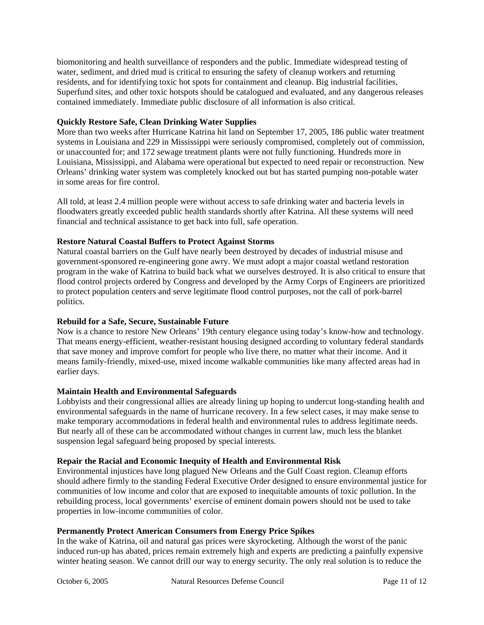biomonitoring and health surveillance of responders and the public. Immediate widespread testing of water, sediment, and dried mud is critical to ensuring the safety of cleanup workers and returning residents, and for identifying toxic hot spots for containment and cleanup. Big industrial facilities, Superfund sites, and other toxic hotspots should be catalogued and evaluated, and any dangerous releases contained immediately. Immediate public disclosure of all information is also critical.

# **Quickly Restore Safe, Clean Drinking Water Supplies**

More than two weeks after Hurricane Katrina hit land on September 17, 2005, 186 public water treatment systems in Louisiana and 229 in Mississippi were seriously compromised, completely out of commission, or unaccounted for; and 172 sewage treatment plants were not fully functioning. Hundreds more in Louisiana, Mississippi, and Alabama were operational but expected to need repair or reconstruction. New Orleans' drinking water system was completely knocked out but has started pumping non-potable water in some areas for fire control.

All told, at least 2.4 million people were without access to safe drinking water and bacteria levels in floodwaters greatly exceeded public health standards shortly after Katrina. All these systems will need financial and technical assistance to get back into full, safe operation.

# **Restore Natural Coastal Buffers to Protect Against Storms**

Natural coastal barriers on the Gulf have nearly been destroyed by decades of industrial misuse and government-sponsored re-engineering gone awry. We must adopt a major coastal wetland restoration program in the wake of Katrina to build back what we ourselves destroyed. It is also critical to ensure that flood control projects ordered by Congress and developed by the Army Corps of Engineers are prioritized to protect population centers and serve legitimate flood control purposes, not the call of pork-barrel politics.

## **Rebuild for a Safe, Secure, Sustainable Future**

Now is a chance to restore New Orleans' 19th century elegance using today's know-how and technology. That means energy-efficient, weather-resistant housing designed according to voluntary federal standards that save money and improve comfort for people who live there, no matter what their income. And it means family-friendly, mixed-use, mixed income walkable communities like many affected areas had in earlier days.

## **Maintain Health and Environmental Safeguards**

Lobbyists and their congressional allies are already lining up hoping to undercut long-standing health and environmental safeguards in the name of hurricane recovery. In a few select cases, it may make sense to make temporary accommodations in federal health and environmental rules to address legitimate needs. But nearly all of these can be accommodated without changes in current law, much less the blanket suspension legal safeguard being proposed by special interests.

## **Repair the Racial and Economic Inequity of Health and Environmental Risk**

Environmental injustices have long plagued New Orleans and the Gulf Coast region. Cleanup efforts should adhere firmly to the standing Federal Executive Order designed to ensure environmental justice for communities of low income and color that are exposed to inequitable amounts of toxic pollution. In the rebuilding process, local governments' exercise of eminent domain powers should not be used to take properties in low-income communities of color.

## **Permanently Protect American Consumers from Energy Price Spikes**

In the wake of Katrina, oil and natural gas prices were skyrocketing. Although the worst of the panic induced run-up has abated, prices remain extremely high and experts are predicting a painfully expensive winter heating season. We cannot drill our way to energy security. The only real solution is to reduce the